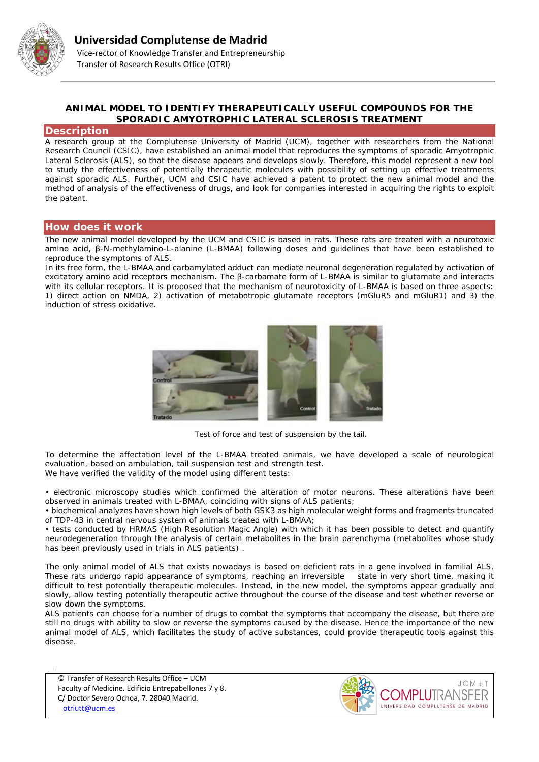

# **ANIMAL MODEL TO IDENTIFY THERAPEUTICALLY USEFUL COMPOUNDS FOR THE SPORADIC AMYOTROPHIC LATERAL SCLEROSIS TREATMENT**

#### **Description**

A research group at the Complutense University of Madrid (UCM), together with researchers from the National Research Council (CSIC), have established an animal model that reproduces the symptoms of sporadic Amyotrophic Lateral Sclerosis (ALS), so that the disease appears and develops slowly. Therefore, this model represent a new tool to study the effectiveness of potentially therapeutic molecules with possibility of setting up effective treatments against sporadic ALS. Further, UCM and CSIC have achieved a patent to protect the new animal model and the method of analysis of the effectiveness of drugs, and look for companies interested in acquiring the rights to exploit the patent.

### **How does it work**

The new animal model developed by the UCM and CSIC is based in rats. These rats are treated with a neurotoxic amino acid, β-N-methylamino-L-alanine (L-BMAA) following doses and guidelines that have been established to reproduce the symptoms of ALS.

In its free form, the L-BMAA and carbamylated adduct can mediate neuronal degeneration regulated by activation of excitatory amino acid receptors mechanism. The β-carbamate form of L-BMAA is similar to glutamate and interacts with its cellular receptors. It is proposed that the mechanism of neurotoxicity of L-BMAA is based on three aspects: 1) direct action on NMDA, 2) activation of metabotropic glutamate receptors (mGluR5 and mGluR1) and 3) the induction of stress oxidative.



*Test of force and test of suspension by the tail.*

To determine the affectation level of the L-BMAA treated animals, we have developed a scale of neurological evaluation, based on ambulation, tail suspension test and strength test. We have verified the validity of the model using different tests:

• electronic microscopy studies which confirmed the alteration of motor neurons. These alterations have been observed in animals treated with L-BMAA, coinciding with signs of ALS patients;

• biochemical analyzes have shown high levels of both GSK3 as high molecular weight forms and fragments truncated of TDP-43 in central nervous system of animals treated with L-BMAA;

• tests conducted by HRMAS (High Resolution Magic Angle) with which it has been possible to detect and quantify neurodegeneration through the analysis of certain metabolites in the brain parenchyma (metabolites whose study has been previously used in trials in ALS patients) .

The only animal model of ALS that exists nowadays is based on deficient rats in a gene involved in familial ALS. These rats undergo rapid appearance of symptoms, reaching an irreversible state in very short time, making it difficult to test potentially therapeutic molecules. Instead, in the new model, the symptoms appear gradually and slowly, allow testing potentially therapeutic active throughout the course of the disease and test whether reverse or slow down the symptoms.

ALS patients can choose for a number of drugs to combat the symptoms that accompany the disease, but there are still no drugs with ability to slow or reverse the symptoms caused by the disease. Hence the importance of the new animal model of ALS, which facilitates the study of active substances, could provide therapeutic tools against this disease.

© Transfer of Research Results Office – UCM Faculty of Medicine. Edificio Entrepabellones 7 y 8. C/ Doctor Severo Ochoa, 7. 28040 Madrid. [otriutt@ucm.es](mailto:otriutt@ucm.es;bgomezmi@bio.ucm.es?subject=ANIMAL%20MODEL%20TO%20IDENTIFY%20THERAPEUTICALLY%20USEFUL%20COMPOUNDS%20FOR%20THE%20SPORADIC%20AMYOTROPHIC%20LATERAL%20SCLEROSIS%20TREATMENT)